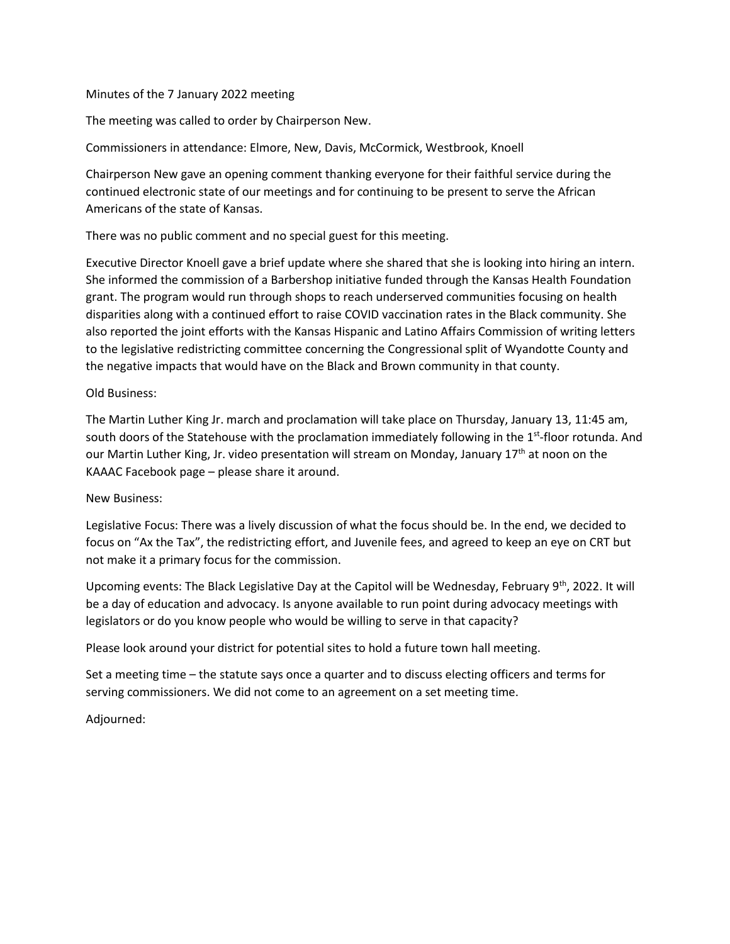## Minutes of the 7 January 2022 meeting

The meeting was called to order by Chairperson New.

Commissioners in attendance: Elmore, New, Davis, McCormick, Westbrook, Knoell

Chairperson New gave an opening comment thanking everyone for their faithful service during the continued electronic state of our meetings and for continuing to be present to serve the African Americans of the state of Kansas.

There was no public comment and no special guest for this meeting.

Executive Director Knoell gave a brief update where she shared that she is looking into hiring an intern. She informed the commission of a Barbershop initiative funded through the Kansas Health Foundation grant. The program would run through shops to reach underserved communities focusing on health disparities along with a continued effort to raise COVID vaccination rates in the Black community. She also reported the joint efforts with the Kansas Hispanic and Latino Affairs Commission of writing letters to the legislative redistricting committee concerning the Congressional split of Wyandotte County and the negative impacts that would have on the Black and Brown community in that county.

### Old Business:

The Martin Luther King Jr. march and proclamation will take place on Thursday, January 13, 11:45 am, south doors of the Statehouse with the proclamation immediately following in the 1<sup>st</sup>-floor rotunda. And our Martin Luther King, Jr. video presentation will stream on Monday, January 17th at noon on the KAAAC Facebook page – please share it around.

# New Business:

Legislative Focus: There was a lively discussion of what the focus should be. In the end, we decided to focus on "Ax the Tax", the redistricting effort, and Juvenile fees, and agreed to keep an eye on CRT but not make it a primary focus for the commission.

Upcoming events: The Black Legislative Day at the Capitol will be Wednesday, February 9<sup>th</sup>, 2022. It will be a day of education and advocacy. Is anyone available to run point during advocacy meetings with legislators or do you know people who would be willing to serve in that capacity?

Please look around your district for potential sites to hold a future town hall meeting.

Set a meeting time – the statute says once a quarter and to discuss electing officers and terms for serving commissioners. We did not come to an agreement on a set meeting time.

Adjourned: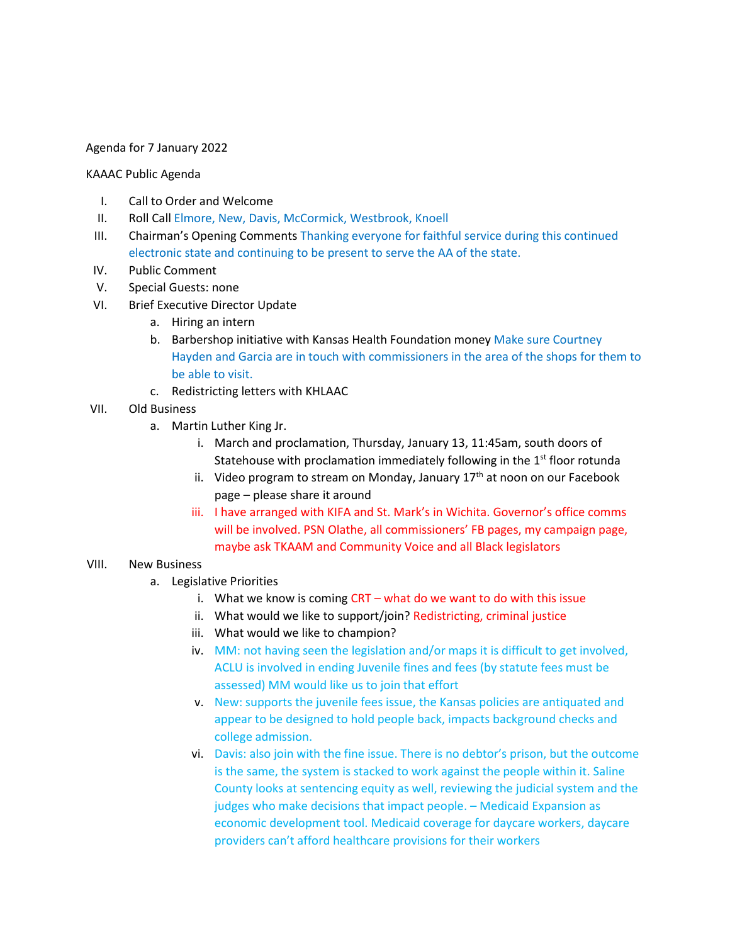### Agenda for 7 January 2022

#### KAAAC Public Agenda

- I. Call to Order and Welcome
- II. Roll Call Elmore, New, Davis, McCormick, Westbrook, Knoell
- III. Chairman's Opening Comments Thanking everyone for faithful service during this continued electronic state and continuing to be present to serve the AA of the state.
- IV. Public Comment
- V. Special Guests: none
- VI. Brief Executive Director Update
	- a. Hiring an intern
	- b. Barbershop initiative with Kansas Health Foundation money Make sure Courtney Hayden and Garcia are in touch with commissioners in the area of the shops for them to be able to visit.
	- c. Redistricting letters with KHLAAC
- VII. Old Business
	- a. Martin Luther King Jr.
		- i. March and proclamation, Thursday, January 13, 11:45am, south doors of Statehouse with proclamation immediately following in the 1<sup>st</sup> floor rotunda
		- ii. Video program to stream on Monday, January  $17<sup>th</sup>$  at noon on our Facebook page – please share it around
		- iii. I have arranged with KIFA and St. Mark's in Wichita. Governor's office comms will be involved. PSN Olathe, all commissioners' FB pages, my campaign page, maybe ask TKAAM and Community Voice and all Black legislators

#### VIII. New Business

- a. Legislative Priorities
	- i. What we know is coming  $CRT what do we want to do with this issue$
	- ii. What would we like to support/join? Redistricting, criminal justice
	- iii. What would we like to champion?
	- iv. MM: not having seen the legislation and/or maps it is difficult to get involved, ACLU is involved in ending Juvenile fines and fees (by statute fees must be assessed) MM would like us to join that effort
	- v. New: supports the juvenile fees issue, the Kansas policies are antiquated and appear to be designed to hold people back, impacts background checks and college admission.
	- vi. Davis: also join with the fine issue. There is no debtor's prison, but the outcome is the same, the system is stacked to work against the people within it. Saline County looks at sentencing equity as well, reviewing the judicial system and the judges who make decisions that impact people. – Medicaid Expansion as economic development tool. Medicaid coverage for daycare workers, daycare providers can't afford healthcare provisions for their workers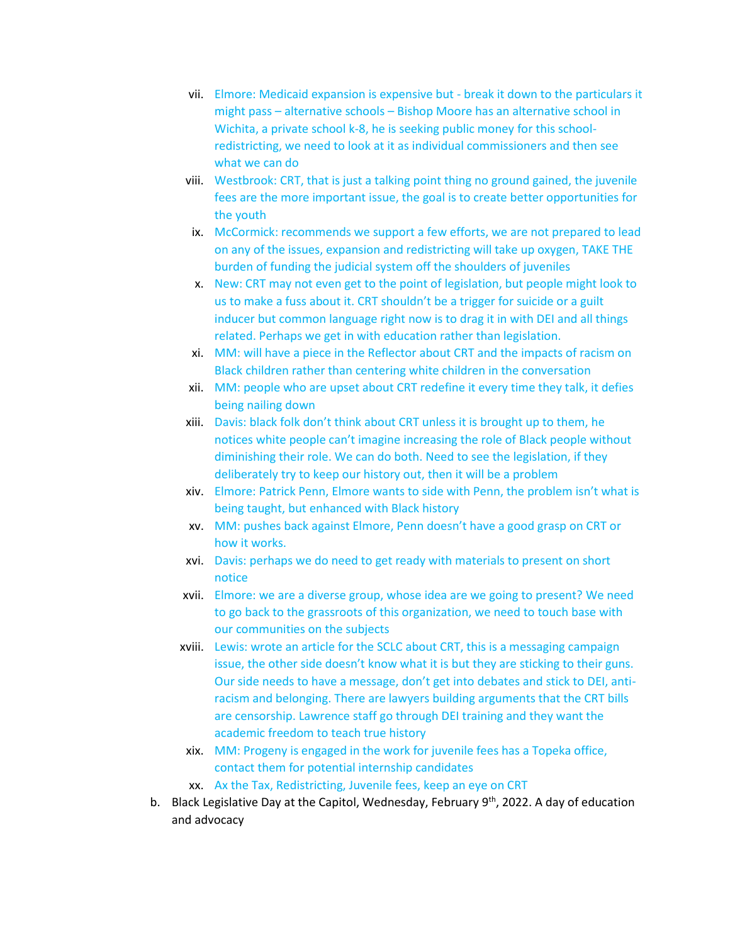- vii. Elmore: Medicaid expansion is expensive but break it down to the particulars it might pass – alternative schools – Bishop Moore has an alternative school in Wichita, a private school k-8, he is seeking public money for this schoolredistricting, we need to look at it as individual commissioners and then see what we can do
- viii. Westbrook: CRT, that is just a talking point thing no ground gained, the juvenile fees are the more important issue, the goal is to create better opportunities for the youth
- ix. McCormick: recommends we support a few efforts, we are not prepared to lead on any of the issues, expansion and redistricting will take up oxygen, TAKE THE burden of funding the judicial system off the shoulders of juveniles
- x. New: CRT may not even get to the point of legislation, but people might look to us to make a fuss about it. CRT shouldn't be a trigger for suicide or a guilt inducer but common language right now is to drag it in with DEI and all things related. Perhaps we get in with education rather than legislation.
- xi. MM: will have a piece in the Reflector about CRT and the impacts of racism on Black children rather than centering white children in the conversation
- xii. MM: people who are upset about CRT redefine it every time they talk, it defies being nailing down
- xiii. Davis: black folk don't think about CRT unless it is brought up to them, he notices white people can't imagine increasing the role of Black people without diminishing their role. We can do both. Need to see the legislation, if they deliberately try to keep our history out, then it will be a problem
- xiv. Elmore: Patrick Penn, Elmore wants to side with Penn, the problem isn't what is being taught, but enhanced with Black history
- xv. MM: pushes back against Elmore, Penn doesn't have a good grasp on CRT or how it works.
- xvi. Davis: perhaps we do need to get ready with materials to present on short notice
- xvii. Elmore: we are a diverse group, whose idea are we going to present? We need to go back to the grassroots of this organization, we need to touch base with our communities on the subjects
- xviii. Lewis: wrote an article for the SCLC about CRT, this is a messaging campaign issue, the other side doesn't know what it is but they are sticking to their guns. Our side needs to have a message, don't get into debates and stick to DEI, antiracism and belonging. There are lawyers building arguments that the CRT bills are censorship. Lawrence staff go through DEI training and they want the academic freedom to teach true history
- xix. MM: Progeny is engaged in the work for juvenile fees has a Topeka office, contact them for potential internship candidates
- xx. Ax the Tax, Redistricting, Juvenile fees, keep an eye on CRT
- b. Black Legislative Day at the Capitol, Wednesday, February  $9^{th}$ , 2022. A day of education and advocacy